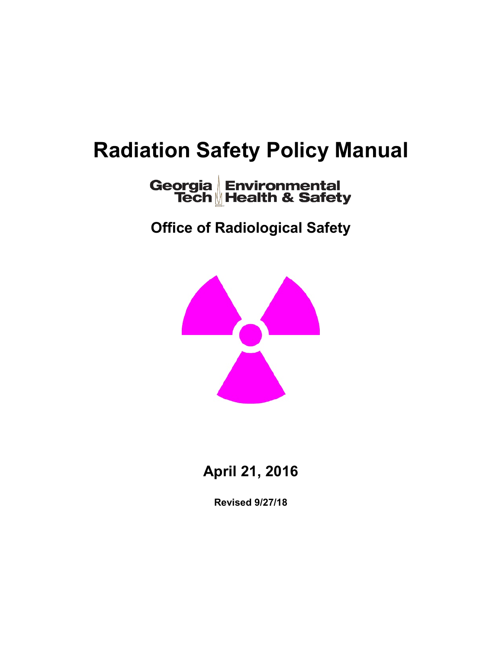# **Radiation Safety Policy Manual**

# Georgia Environmental<br>Tech Health & Safety

**Office of Radiological Safety**



**April 21, 2016**

**Revised 9/27/18**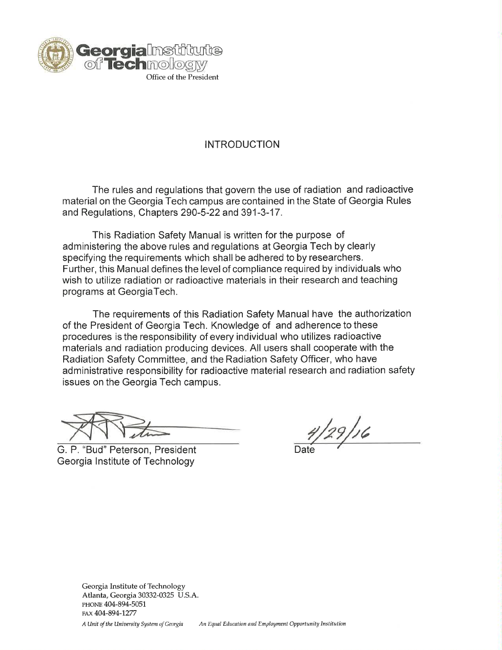

# **INTRODUCTION**

The rules and regulations that govern the use of radiation and radioactive material on the Georgia Tech campus are contained in the State of Georgia Rules and Regulations, Chapters 290-5-22 and 391-3-17.

This Radiation Safety Manual is written for the purpose of administering the above rules and regulations at Georgia Tech by clearly specifying the requirements which shall be adhered to by researchers. Further, this Manual defines the level of compliance required by individuals who wish to utilize radiation or radioactive materials in their research and teaching programs at GeorgiaTech.

The requirements of this Radiation Safety Manual have the authorization of the President of Georgia Tech. Knowledge of and adherence to these procedures is the responsibility of every individual who utilizes radioactive materials and radiation producing devices. All users shall cooperate with the Radiation Safety Committee, and the Radiation Safety Officer, who have administrative responsibility for radioactive material research and radiation safety issues on the Georgia Tech campus.

G. P. "Bud" Peterson, President Georgia Institute of Technology

4/29/16

Georgia Institute of Technology Atlanta, Georgia 30332-0325 U.S.A. PHONE 404-894-5051 FAX 404-894-1277

A Unit of the University System of Georgia An Equal Education and Employment Opportunity Institution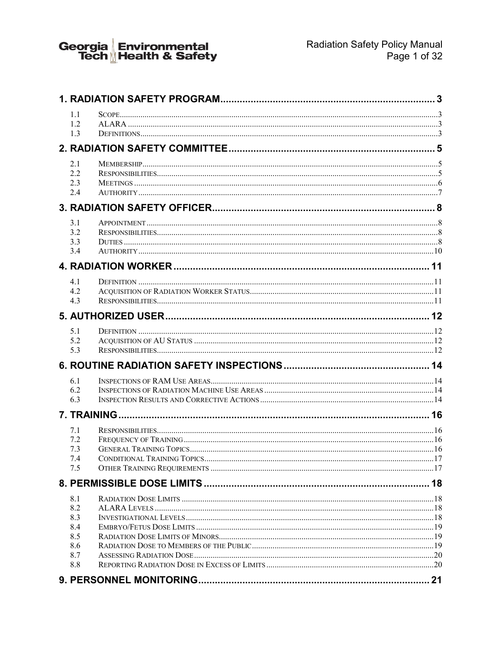

| 1.1<br>1.2<br>1.3                                    |  |
|------------------------------------------------------|--|
|                                                      |  |
| 2.1<br>2.2<br>2.3<br>2.4                             |  |
|                                                      |  |
| 3.1<br>3.2<br>3.3<br>3.4                             |  |
|                                                      |  |
| 4.1<br>4.2<br>4.3                                    |  |
|                                                      |  |
| 5.1<br>5.2<br>5.3                                    |  |
|                                                      |  |
| 6.1<br>6.2<br>6.3                                    |  |
|                                                      |  |
| 7.1<br>7.2<br>7.3<br>7.4<br>7.5                      |  |
|                                                      |  |
| 8.1<br>8.2<br>8.3<br>8.4<br>8.5<br>8.6<br>8.7<br>8.8 |  |
|                                                      |  |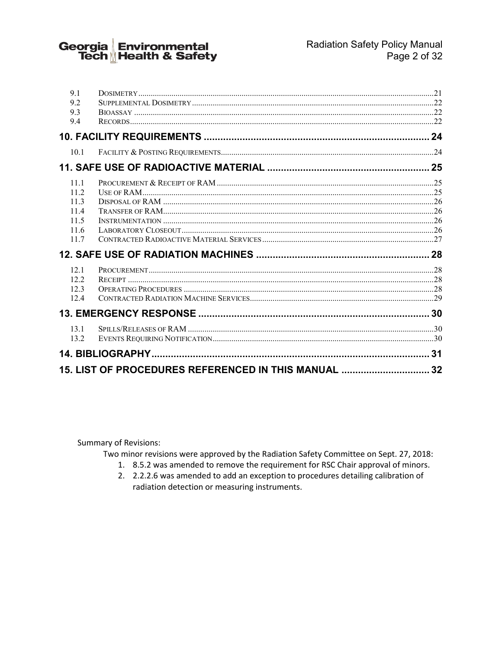Georgia Environmental<br>Tech <u>M</u>Health & Safety

| 9.1                                                  |  |  |  |  |  |
|------------------------------------------------------|--|--|--|--|--|
| 9.2                                                  |  |  |  |  |  |
| 9.3                                                  |  |  |  |  |  |
| 9.4                                                  |  |  |  |  |  |
|                                                      |  |  |  |  |  |
| 10.1                                                 |  |  |  |  |  |
|                                                      |  |  |  |  |  |
| 11.1                                                 |  |  |  |  |  |
| 11.2                                                 |  |  |  |  |  |
| 11.3                                                 |  |  |  |  |  |
| 11.4                                                 |  |  |  |  |  |
| 11.5                                                 |  |  |  |  |  |
| 11.6                                                 |  |  |  |  |  |
| 11.7                                                 |  |  |  |  |  |
|                                                      |  |  |  |  |  |
| 12.1                                                 |  |  |  |  |  |
| 12.2.                                                |  |  |  |  |  |
| 12.3                                                 |  |  |  |  |  |
| 12.4                                                 |  |  |  |  |  |
|                                                      |  |  |  |  |  |
| 13.1                                                 |  |  |  |  |  |
| 13.2                                                 |  |  |  |  |  |
|                                                      |  |  |  |  |  |
| 15. LIST OF PROCEDURES REFERENCED IN THIS MANUAL  32 |  |  |  |  |  |
|                                                      |  |  |  |  |  |

**Summary of Revisions:** 

Two minor revisions were approved by the Radiation Safety Committee on Sept. 27, 2018:

- 1. 8.5.2 was amended to remove the requirement for RSC Chair approval of minors.
- 2. 2.2.2.6 was amended to add an exception to procedures detailing calibration of radiation detection or measuring instruments.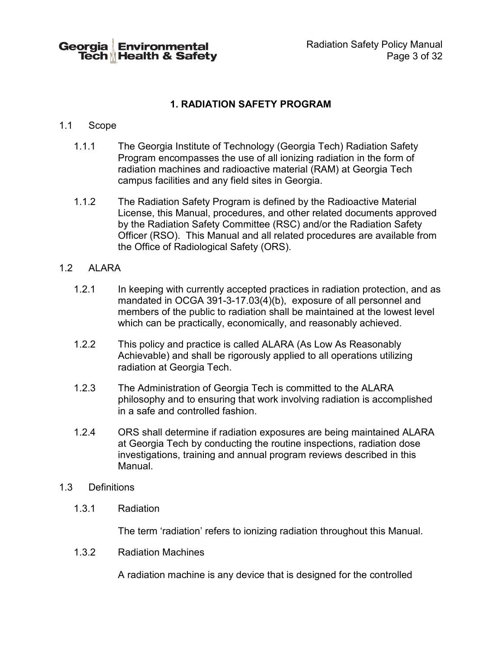Georgia Environmental Tech Health & Safety

# **1. RADIATION SAFETY PROGRAM**

#### <span id="page-4-1"></span><span id="page-4-0"></span>1.1 Scope

- 1.1.1 The Georgia Institute of Technology (Georgia Tech) Radiation Safety Program encompasses the use of all ionizing radiation in the form of radiation machines and radioactive material (RAM) at Georgia Tech campus facilities and any field sites in Georgia.
- 1.1.2 The Radiation Safety Program is defined by the Radioactive Material License, this Manual, procedures, and other related documents approved by the Radiation Safety Committee (RSC) and/or the Radiation Safety Officer (RSO). This Manual and all related procedures are available from the Office of Radiological Safety (ORS).

#### <span id="page-4-2"></span>1.2 ALARA

- 1.2.1 In keeping with currently accepted practices in radiation protection, and as mandated in OCGA 391-3-17.03(4)(b), exposure of all personnel and members of the public to radiation shall be maintained at the lowest level which can be practically, economically, and reasonably achieved.
- 1.2.2 This policy and practice is called ALARA (As Low As Reasonably Achievable) and shall be rigorously applied to all operations utilizing radiation at Georgia Tech.
- 1.2.3 The Administration of Georgia Tech is committed to the ALARA philosophy and to ensuring that work involving radiation is accomplished in a safe and controlled fashion.
- 1.2.4 ORS shall determine if radiation exposures are being maintained ALARA at Georgia Tech by conducting the routine inspections, radiation dose investigations, training and annual program reviews described in this Manual.

#### <span id="page-4-3"></span>1.3 Definitions

1.3.1 Radiation

The term 'radiation' refers to ionizing radiation throughout this Manual.

1.3.2 Radiation Machines

A radiation machine is any device that is designed for the controlled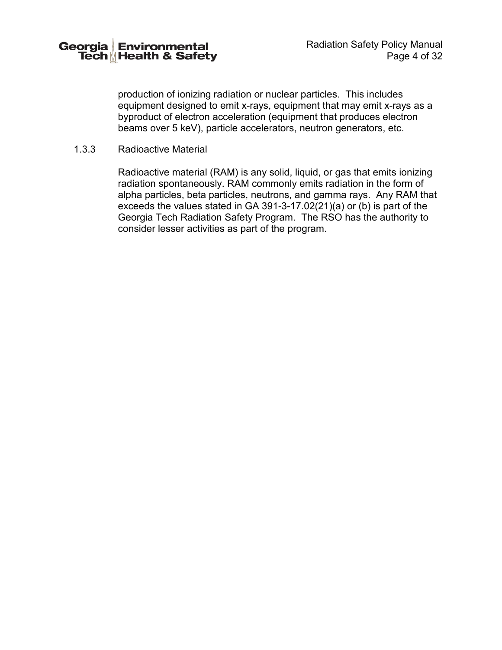production of ionizing radiation or nuclear particles. This includes equipment designed to emit x-rays, equipment that may emit x-rays as a byproduct of electron acceleration (equipment that produces electron beams over 5 keV), particle accelerators, neutron generators, etc.

#### 1.3.3 Radioactive Material

Radioactive material (RAM) is any solid, liquid, or gas that emits ionizing radiation spontaneously. RAM commonly emits radiation in the form of alpha particles, beta particles, neutrons, and gamma rays. Any RAM that exceeds the values stated in GA 391-3-17.02(21)(a) or (b) is part of the Georgia Tech Radiation Safety Program. The RSO has the authority to consider lesser activities as part of the program.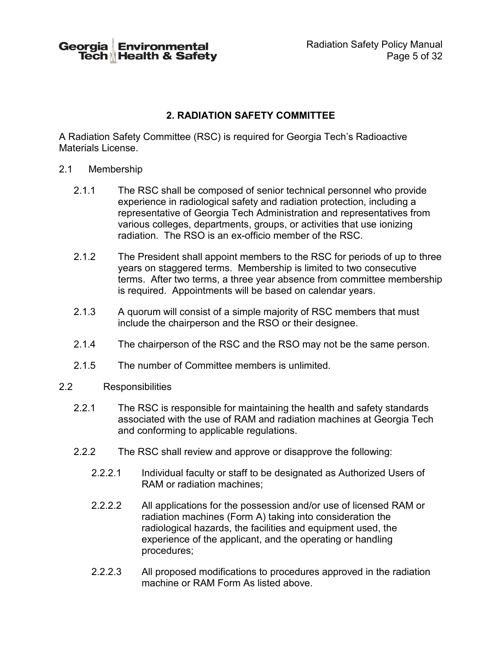Georgia Environmental Tech <sub>M</sub> Health & Safety Radiation Safety Policy Manual Page 5 of 32

# **2. RADIATION SAFETY COMMITTEE**

<span id="page-6-0"></span>A Radiation Safety Committee (RSC) is required for Georgia Tech's Radioactive Materials License.

- <span id="page-6-1"></span>2.1 Membership
	- 2.1.1 The RSC shall be composed of senior technical personnel who provide experience in radiological safety and radiation protection, including a representative of Georgia Tech Administration and representatives from various colleges, departments, groups, or activities that use ionizing radiation. The RSO is an ex-officio member of the RSC.
	- 2.1.2 The President shall appoint members to the RSC for periods of up to three years on staggered terms. Membership is limited to two consecutive terms. After two terms, a three year absence from committee membership is required. Appointments will be based on calendar years.
	- 2.1.3 A quorum will consist of a simple majority of RSC members that must include the chairperson and the RSO or their designee.
	- 2.1.4 The chairperson of the RSC and the RSO may not be the same person.
	- 2.1.5 The number of Committee members is unlimited.
- <span id="page-6-2"></span>2.2 Responsibilities
	- 2.2.1 The RSC is responsible for maintaining the health and safety standards associated with the use of RAM and radiation machines at Georgia Tech and conforming to applicable regulations.
	- 2.2.2 The RSC shall review and approve or disapprove the following:
		- 2.2.2.1 Individual faculty or staff to be designated as Authorized Users of RAM or radiation machines;
		- 2.2.2.2 All applications for the possession and/or use of licensed RAM or radiation machines (Form A) taking into consideration the radiological hazards, the facilities and equipment used, the experience of the applicant, and the operating or handling procedures;
		- 2.2.2.3 All proposed modifications to procedures approved in the radiation machine or RAM Form As listed above.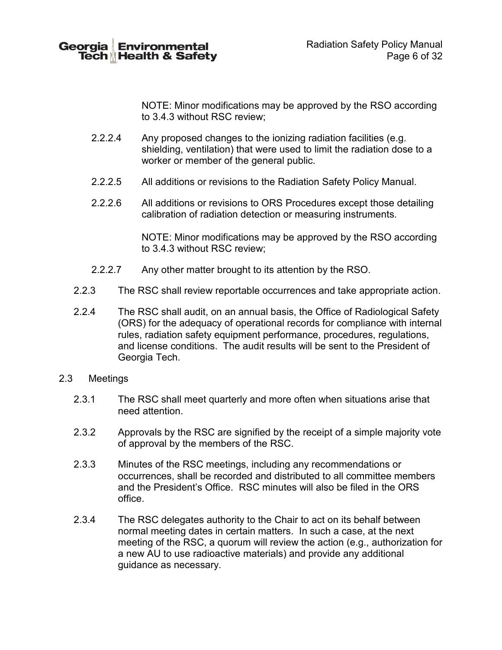

NOTE: Minor modifications may be approved by the RSO according to 3.4.3 without RSC review;

- 2.2.2.4 Any proposed changes to the ionizing radiation facilities (e.g. shielding, ventilation) that were used to limit the radiation dose to a worker or member of the general public.
- 2.2.2.5 All additions or revisions to the Radiation Safety Policy Manual.
- 2.2.2.6 All additions or revisions to ORS Procedures except those detailing calibration of radiation detection or measuring instruments.

NOTE: Minor modifications may be approved by the RSO according to 3.4.3 without RSC review;

- 2.2.2.7 Any other matter brought to its attention by the RSO.
- 2.2.3 The RSC shall review reportable occurrences and take appropriate action.
- 2.2.4 The RSC shall audit, on an annual basis, the Office of Radiological Safety (ORS) for the adequacy of operational records for compliance with internal rules, radiation safety equipment performance, procedures, regulations, and license conditions. The audit results will be sent to the President of Georgia Tech.
- <span id="page-7-0"></span>2.3 Meetings
	- 2.3.1 The RSC shall meet quarterly and more often when situations arise that need attention.
	- 2.3.2 Approvals by the RSC are signified by the receipt of a simple majority vote of approval by the members of the RSC.
	- 2.3.3 Minutes of the RSC meetings, including any recommendations or occurrences, shall be recorded and distributed to all committee members and the President's Office. RSC minutes will also be filed in the ORS office.
	- 2.3.4 The RSC delegates authority to the Chair to act on its behalf between normal meeting dates in certain matters. In such a case, at the next meeting of the RSC, a quorum will review the action (e.g., authorization for a new AU to use radioactive materials) and provide any additional guidance as necessary.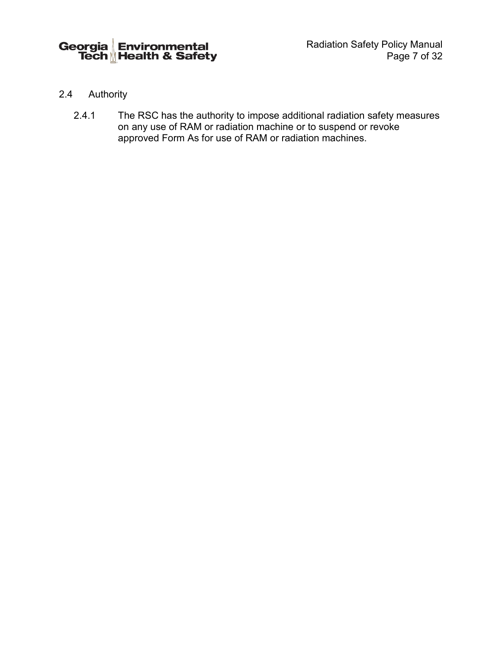- 2.4 Authority
	- 2.4.1 The RSC has the authority to impose additional radiation safety measures on any use of RAM or radiation machine or to suspend or revoke approved Form As for use of RAM or radiation machines.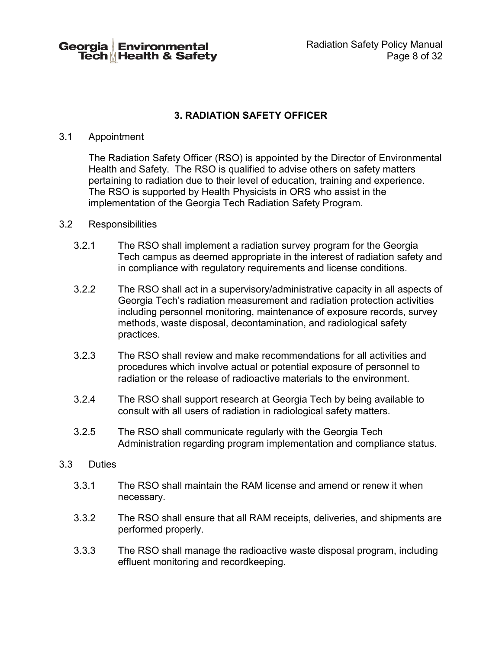Georgia Environmental Tech <sub>M</sub> Health & Safety

# **3. RADIATION SAFETY OFFICER**

#### 3.1 Appointment

The Radiation Safety Officer (RSO) is appointed by the Director of Environmental Health and Safety. The RSO is qualified to advise others on safety matters pertaining to radiation due to their level of education, training and experience. The RSO is supported by Health Physicists in ORS who assist in the implementation of the Georgia Tech Radiation Safety Program.

#### 3.2 Responsibilities

- 3.2.1 The RSO shall implement a radiation survey program for the Georgia Tech campus as deemed appropriate in the interest of radiation safety and in compliance with regulatory requirements and license conditions.
- 3.2.2 The RSO shall act in a supervisory/administrative capacity in all aspects of Georgia Tech's radiation measurement and radiation protection activities including personnel monitoring, maintenance of exposure records, survey methods, waste disposal, decontamination, and radiological safety practices.
- 3.2.3 The RSO shall review and make recommendations for all activities and procedures which involve actual or potential exposure of personnel to radiation or the release of radioactive materials to the environment.
- 3.2.4 The RSO shall support research at Georgia Tech by being available to consult with all users of radiation in radiological safety matters.
- 3.2.5 The RSO shall communicate regularly with the Georgia Tech Administration regarding program implementation and compliance status.

#### 3.3 Duties

- 3.3.1 The RSO shall maintain the RAM license and amend or renew it when necessary.
- 3.3.2 The RSO shall ensure that all RAM receipts, deliveries, and shipments are performed properly.
- 3.3.3 The RSO shall manage the radioactive waste disposal program, including effluent monitoring and recordkeeping.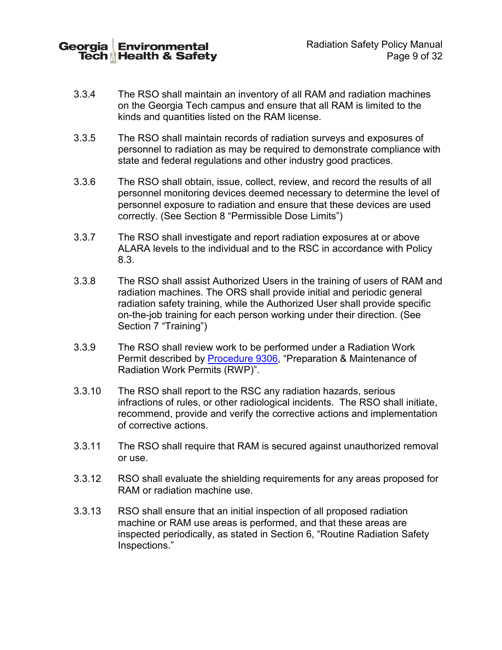**Georgia Environmental** Tech**MHealth & Safety** 

- 3.3.4 The RSO shall maintain an inventory of all RAM and radiation machines on the Georgia Tech campus and ensure that all RAM is limited to the kinds and quantities listed on the RAM license.
- 3.3.5 The RSO shall maintain records of radiation surveys and exposures of personnel to radiation as may be required to demonstrate compliance with state and federal regulations and other industry good practices.
- 3.3.6 The RSO shall obtain, issue, collect, review, and record the results of all personnel monitoring devices deemed necessary to determine the level of personnel exposure to radiation and ensure that these devices are used correctly. (See Section [8](#page-19-0) "Permissible Dose Limits")
- 3.3.7 The RSO shall investigate and report radiation exposures at or above ALARA levels to the individual and to the RSC in accordance with Policy [8.3.](#page-19-1)
- 3.3.8 The RSO shall assist Authorized Users in the training of users of RAM and radiation machines. The ORS shall provide initial and periodic general radiation safety training, while the Authorized User shall provide specific on-the-job training for each person working under their direction. (See Section [7](#page-17-0) "Training")
- 3.3.9 The RSO shall review work to be performed under a Radiation Work Permit described by [Procedure 9306,](http://www.ehs.gatech.edu/sites/default/files/procedure_9306.pdf) "Preparation & Maintenance of Radiation Work Permits (RWP)".
- 3.3.10 The RSO shall report to the RSC any radiation hazards, serious infractions of rules, or other radiological incidents. The RSO shall initiate, recommend, provide and verify the corrective actions and implementation of corrective actions.
- 3.3.11 The RSO shall require that RAM is secured against unauthorized removal or use.
- 3.3.12 RSO shall evaluate the shielding requirements for any areas proposed for RAM or radiation machine use.
- 3.3.13 RSO shall ensure that an initial inspection of all proposed radiation machine or RAM use areas is performed, and that these areas are inspected periodically, as stated in Section 6, "Routine Radiation Safety Inspections."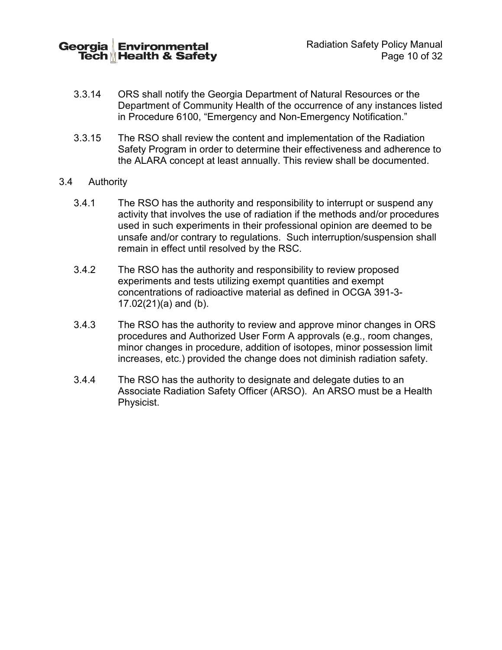Georgia **Environmental** Tech Health & Safety

- 3.3.14 ORS shall notify the Georgia Department of Natural Resources or the Department of Community Health of the occurrence of any instances listed in Procedure 6100, "Emergency and Non-Emergency Notification."
- 3.3.15 The RSO shall review the content and implementation of the Radiation Safety Program in order to determine their effectiveness and adherence to the ALARA concept at least annually. This review shall be documented.
- 3.4 Authority
	- 3.4.1 The RSO has the authority and responsibility to interrupt or suspend any activity that involves the use of radiation if the methods and/or procedures used in such experiments in their professional opinion are deemed to be unsafe and/or contrary to regulations. Such interruption/suspension shall remain in effect until resolved by the RSC.
	- 3.4.2 The RSO has the authority and responsibility to review proposed experiments and tests utilizing exempt quantities and exempt concentrations of radioactive material as defined in OCGA 391-3- 17.02(21)(a) and (b).
	- 3.4.3 The RSO has the authority to review and approve minor changes in ORS procedures and Authorized User Form A approvals (e.g., room changes, minor changes in procedure, addition of isotopes, minor possession limit increases, etc.) provided the change does not diminish radiation safety.
	- 3.4.4 The RSO has the authority to designate and delegate duties to an Associate Radiation Safety Officer (ARSO). An ARSO must be a Health Physicist.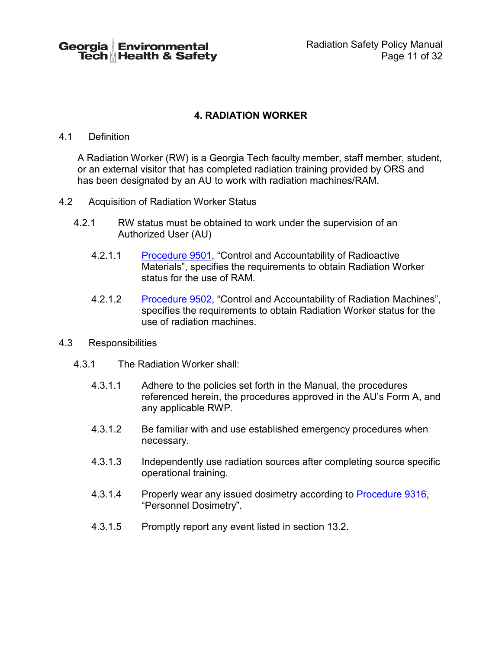Georgia Environmental Tech <sub>M</sub> Health & Safety Radiation Safety Policy Manual Page 11 of 32

# **4. RADIATION WORKER**

#### 4.1 Definition

A Radiation Worker (RW) is a Georgia Tech faculty member, staff member, student, or an external visitor that has completed radiation training provided by ORS and has been designated by an AU to work with radiation machines/RAM.

- 4.2 Acquisition of Radiation Worker Status
	- 4.2.1 RW status must be obtained to work under the supervision of an Authorized User (AU)
		- 4.2.1.1 [Procedure 9501,](http://www.ehs.gatech.edu/sites/default/files/procedure_9501.pdf) "Control and Accountability of Radioactive Materials", specifies the requirements to obtain Radiation Worker status for the use of RAM.
		- 4.2.1.2 [Procedure 9502,](http://www.ehs.gatech.edu/sites/default/files/procedure_9502.pdf) "Control and Accountability of Radiation Machines", specifies the requirements to obtain Radiation Worker status for the use of radiation machines.
- 4.3 Responsibilities
	- 4.3.1 The Radiation Worker shall:
		- 4.3.1.1 Adhere to the policies set forth in the Manual, the procedures referenced herein, the procedures approved in the AU's Form A, and any applicable RWP.
		- 4.3.1.2 Be familiar with and use established emergency procedures when necessary.
		- 4.3.1.3 Independently use radiation sources after completing source specific operational training.
		- 4.3.1.4 Properly wear any issued dosimetry according to [Procedure 9316,](http://www.ehs.gatech.edu/sites/default/files/procedure_9316.pdf) "Personnel Dosimetry".
		- 4.3.1.5 Promptly report any event listed in section 13.2.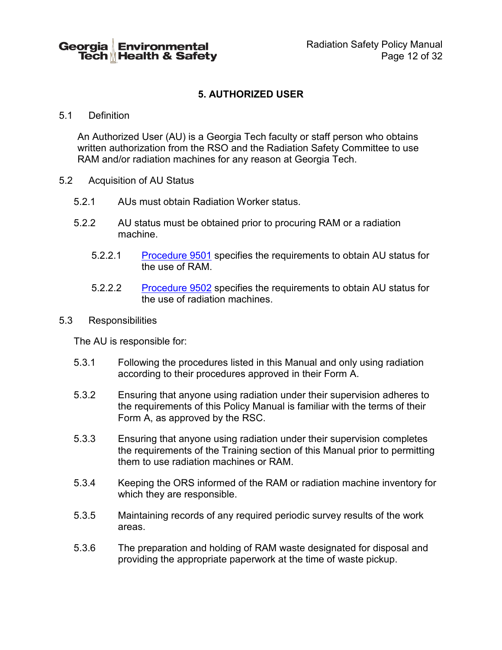# **5. AUTHORIZED USER**

#### 5.1 Definition

An Authorized User (AU) is a Georgia Tech faculty or staff person who obtains written authorization from the RSO and the Radiation Safety Committee to use RAM and/or radiation machines for any reason at Georgia Tech.

- 5.2 Acquisition of AU Status
	- 5.2.1 AUs must obtain Radiation Worker status.
	- 5.2.2 AU status must be obtained prior to procuring RAM or a radiation machine.
		- 5.2.2.1 [Procedure 9501](http://www.ehs.gatech.edu/sites/default/files/procedure_9501.pdf) specifies the requirements to obtain AU status for the use of RAM.
		- 5.2.2.2 [Procedure 9502](http://www.ehs.gatech.edu/sites/default/files/procedure_9502.pdf) specifies the requirements to obtain AU status for the use of radiation machines.
- 5.3 Responsibilities

The AU is responsible for:

- 5.3.1 Following the procedures listed in this Manual and only using radiation according to their procedures approved in their Form A.
- 5.3.2 Ensuring that anyone using radiation under their supervision adheres to the requirements of this Policy Manual is familiar with the terms of their Form A, as approved by the RSC.
- 5.3.3 Ensuring that anyone using radiation under their supervision completes the requirements of the Training section of this Manual prior to permitting them to use radiation machines or RAM.
- 5.3.4 Keeping the ORS informed of the RAM or radiation machine inventory for which they are responsible.
- 5.3.5 Maintaining records of any required periodic survey results of the work areas.
- 5.3.6 The preparation and holding of RAM waste designated for disposal and providing the appropriate paperwork at the time of waste pickup.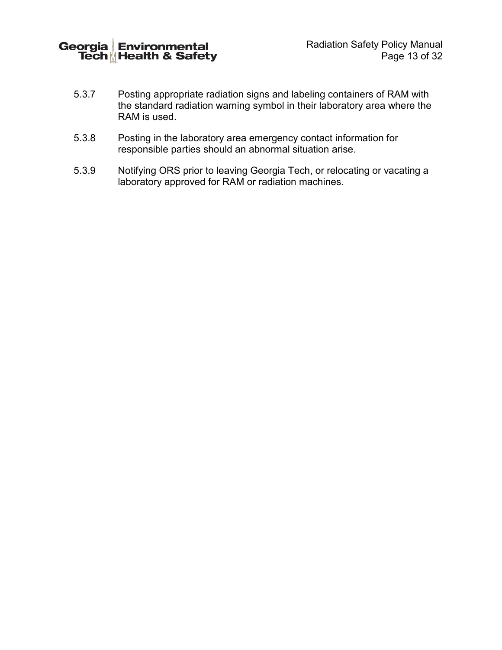Georgia Environmental<br>Tech Health & Safety

- 5.3.7 Posting appropriate radiation signs and labeling containers of RAM with the standard radiation warning symbol in their laboratory area where the RAM is used.
- 5.3.8 Posting in the laboratory area emergency contact information for responsible parties should an abnormal situation arise.
- 5.3.9 Notifying ORS prior to leaving Georgia Tech, or relocating or vacating a laboratory approved for RAM or radiation machines.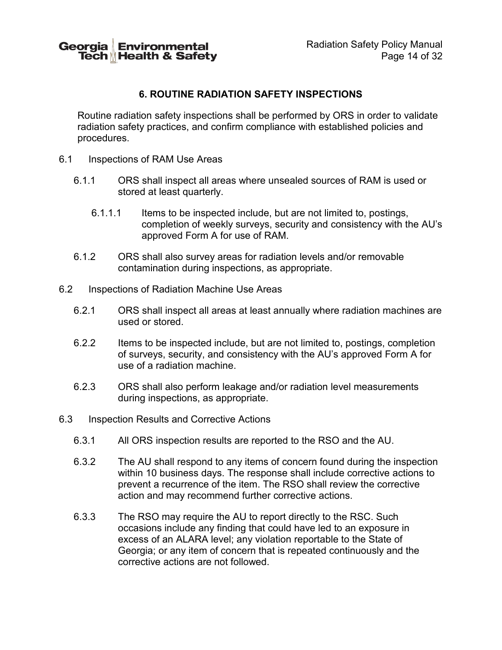Georgia Environmental Tech Health & Safety

# **6. ROUTINE RADIATION SAFETY INSPECTIONS**

Routine radiation safety inspections shall be performed by ORS in order to validate radiation safety practices, and confirm compliance with established policies and procedures.

- 6.1 Inspections of RAM Use Areas
	- 6.1.1 ORS shall inspect all areas where unsealed sources of RAM is used or stored at least quarterly.
		- 6.1.1.1 Items to be inspected include, but are not limited to, postings, completion of weekly surveys, security and consistency with the AU's approved Form A for use of RAM.
	- 6.1.2 ORS shall also survey areas for radiation levels and/or removable contamination during inspections, as appropriate.
- 6.2 Inspections of Radiation Machine Use Areas
	- 6.2.1 ORS shall inspect all areas at least annually where radiation machines are used or stored.
	- 6.2.2 Items to be inspected include, but are not limited to, postings, completion of surveys, security, and consistency with the AU's approved Form A for use of a radiation machine.
	- 6.2.3 ORS shall also perform leakage and/or radiation level measurements during inspections, as appropriate.
- 6.3 Inspection Results and Corrective Actions
	- 6.3.1 All ORS inspection results are reported to the RSO and the AU.
	- 6.3.2 The AU shall respond to any items of concern found during the inspection within 10 business days. The response shall include corrective actions to prevent a recurrence of the item. The RSO shall review the corrective action and may recommend further corrective actions.
	- 6.3.3 The RSO may require the AU to report directly to the RSC. Such occasions include any finding that could have led to an exposure in excess of an ALARA level; any violation reportable to the State of Georgia; or any item of concern that is repeated continuously and the corrective actions are not followed.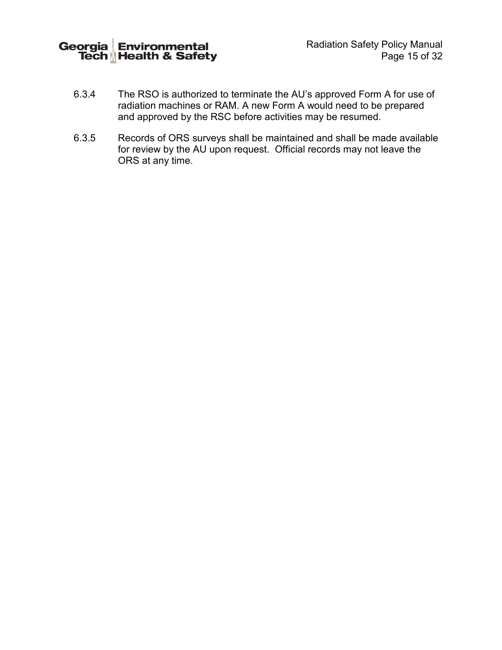

- 6.3.4 The RSO is authorized to terminate the AU's approved Form A for use of radiation machines or RAM. A new Form A would need to be prepared and approved by the RSC before activities may be resumed.
- 6.3.5 Records of ORS surveys shall be maintained and shall be made available for review by the AU upon request. Official records may not leave the ORS at any time.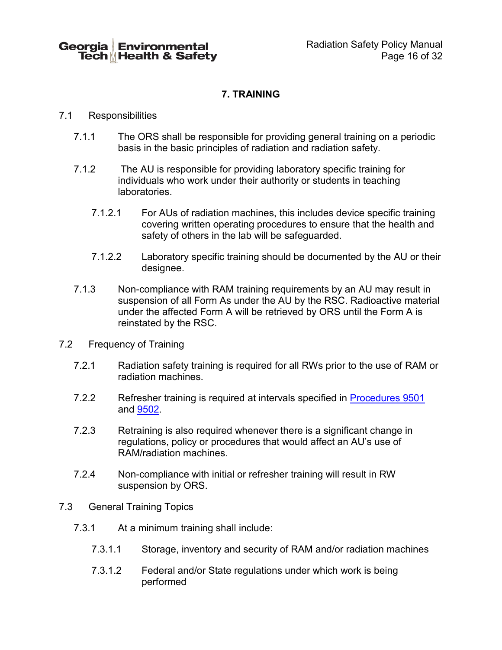# **7. TRAINING**

#### <span id="page-17-0"></span>7.1 Responsibilities

- 7.1.1 The ORS shall be responsible for providing general training on a periodic basis in the basic principles of radiation and radiation safety.
- 7.1.2 The AU is responsible for providing laboratory specific training for individuals who work under their authority or students in teaching laboratories.
	- 7.1.2.1 For AUs of radiation machines, this includes device specific training covering written operating procedures to ensure that the health and safety of others in the lab will be safeguarded.
	- 7.1.2.2 Laboratory specific training should be documented by the AU or their designee.
- 7.1.3 Non-compliance with RAM training requirements by an AU may result in suspension of all Form As under the AU by the RSC. Radioactive material under the affected Form A will be retrieved by ORS until the Form A is reinstated by the RSC.
- 7.2 Frequency of Training
	- 7.2.1 Radiation safety training is required for all RWs prior to the use of RAM or radiation machines.
	- 7.2.2 Refresher training is required at intervals specified in [Procedures 9501](http://www.ehs.gatech.edu/sites/default/files/procedure_9501.pdf) and [9502.](http://www.ehs.gatech.edu/sites/default/files/procedure_9502.pdf)
	- 7.2.3 Retraining is also required whenever there is a significant change in regulations, policy or procedures that would affect an AU's use of RAM/radiation machines.
	- 7.2.4 Non-compliance with initial or refresher training will result in RW suspension by ORS.
- 7.3 General Training Topics
	- 7.3.1 At a minimum training shall include:
		- 7.3.1.1 Storage, inventory and security of RAM and/or radiation machines
		- 7.3.1.2 Federal and/or State regulations under which work is being performed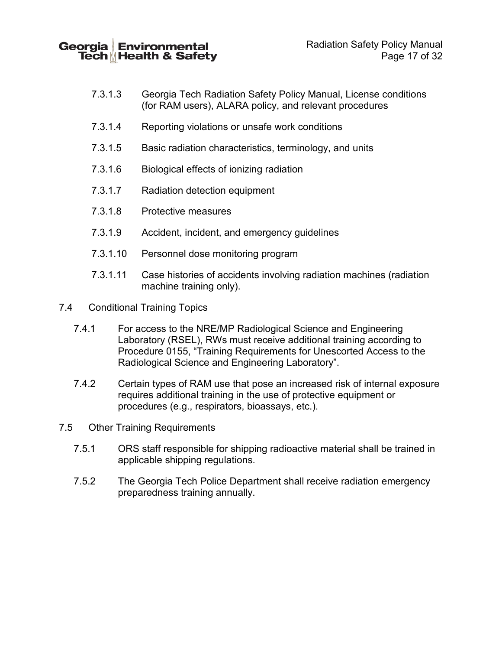Georgia Environmental Tech Health & Safety

- 7.3.1.3 Georgia Tech Radiation Safety Policy Manual, License conditions (for RAM users), ALARA policy, and relevant procedures
- 7.3.1.4 Reporting violations or unsafe work conditions
- 7.3.1.5 Basic radiation characteristics, terminology, and units
- 7.3.1.6 Biological effects of ionizing radiation
- 7.3.1.7 Radiation detection equipment
- 7.3.1.8 Protective measures
- 7.3.1.9 Accident, incident, and emergency guidelines
- 7.3.1.10 Personnel dose monitoring program
- 7.3.1.11 Case histories of accidents involving radiation machines (radiation machine training only).
- 7.4 Conditional Training Topics
	- 7.4.1 For access to the NRE/MP Radiological Science and Engineering Laboratory (RSEL), RWs must receive additional training according to Procedure 0155, "Training Requirements for Unescorted Access to the Radiological Science and Engineering Laboratory".
	- 7.4.2 Certain types of RAM use that pose an increased risk of internal exposure requires additional training in the use of protective equipment or procedures (e.g., respirators, bioassays, etc.).
- 7.5 Other Training Requirements
	- 7.5.1 ORS staff responsible for shipping radioactive material shall be trained in applicable shipping regulations.
	- 7.5.2 The Georgia Tech Police Department shall receive radiation emergency preparedness training annually.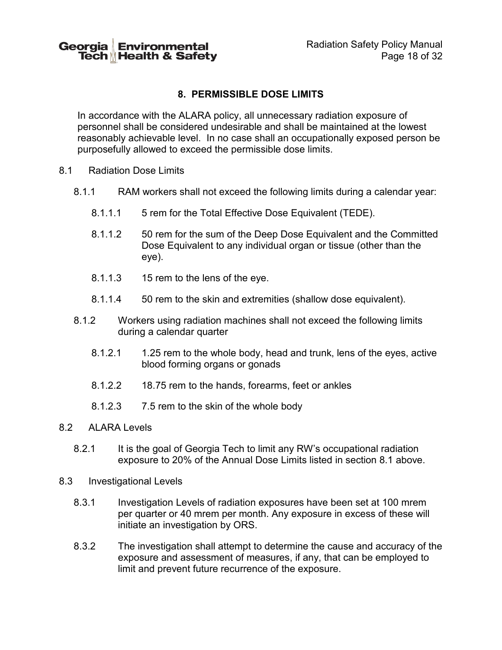# <span id="page-19-0"></span>**8. PERMISSIBLE DOSE LIMITS**

In accordance with the ALARA policy, all unnecessary radiation exposure of personnel shall be considered undesirable and shall be maintained at the lowest reasonably achievable level. In no case shall an occupationally exposed person be purposefully allowed to exceed the permissible dose limits.

- 8.1 Radiation Dose Limits
	- 8.1.1 RAM workers shall not exceed the following limits during a calendar year:
		- 8.1.1.1 5 rem for the Total Effective Dose Equivalent (TEDE).
		- 8.1.1.2 50 rem for the sum of the Deep Dose Equivalent and the Committed Dose Equivalent to any individual organ or tissue (other than the eye).
		- 8.1.1.3 15 rem to the lens of the eye.
		- 8.1.1.4 50 rem to the skin and extremities (shallow dose equivalent).
	- 8.1.2 Workers using radiation machines shall not exceed the following limits during a calendar quarter
		- 8.1.2.1 1.25 rem to the whole body, head and trunk, lens of the eyes, active blood forming organs or gonads
		- 8.1.2.2 18.75 rem to the hands, forearms, feet or ankles
		- 8.1.2.3 7.5 rem to the skin of the whole body
- 8.2 ALARA Levels
	- 8.2.1 It is the goal of Georgia Tech to limit any RW's occupational radiation exposure to 20% of the Annual Dose Limits listed in section 8.1 above.
- <span id="page-19-1"></span>8.3 Investigational Levels
	- 8.3.1 Investigation Levels of radiation exposures have been set at 100 mrem per quarter or 40 mrem per month. Any exposure in excess of these will initiate an investigation by ORS.
	- 8.3.2 The investigation shall attempt to determine the cause and accuracy of the exposure and assessment of measures, if any, that can be employed to limit and prevent future recurrence of the exposure.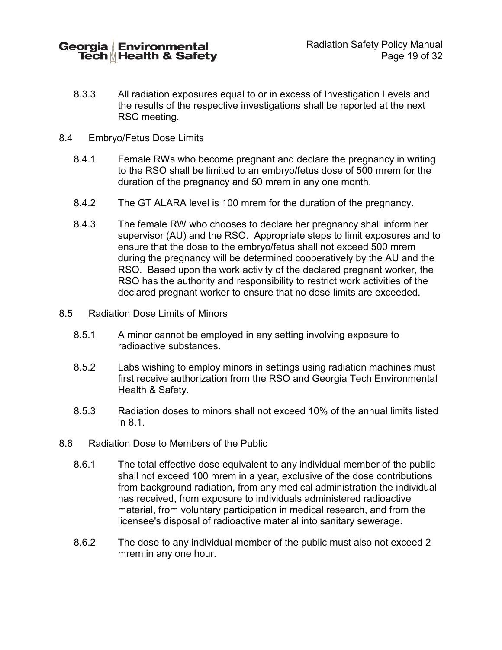Georgia **Environmental** Tech Health & Safety

- 8.3.3 All radiation exposures equal to or in excess of Investigation Levels and the results of the respective investigations shall be reported at the next RSC meeting.
- 8.4 Embryo/Fetus Dose Limits
	- 8.4.1 Female RWs who become pregnant and declare the pregnancy in writing to the RSO shall be limited to an embryo/fetus dose of 500 mrem for the duration of the pregnancy and 50 mrem in any one month.
	- 8.4.2 The GT ALARA level is 100 mrem for the duration of the pregnancy.
	- 8.4.3 The female RW who chooses to declare her pregnancy shall inform her supervisor (AU) and the RSO. Appropriate steps to limit exposures and to ensure that the dose to the embryo/fetus shall not exceed 500 mrem during the pregnancy will be determined cooperatively by the AU and the RSO. Based upon the work activity of the declared pregnant worker, the RSO has the authority and responsibility to restrict work activities of the declared pregnant worker to ensure that no dose limits are exceeded.
- 8.5 Radiation Dose Limits of Minors
	- 8.5.1 A minor cannot be employed in any setting involving exposure to radioactive substances.
	- 8.5.2 Labs wishing to employ minors in settings using radiation machines must first receive authorization from the RSO and Georgia Tech Environmental Health & Safety.
	- 8.5.3 Radiation doses to minors shall not exceed 10% of the annual limits listed in 8.1.
- 8.6 Radiation Dose to Members of the Public
	- 8.6.1 The total effective dose equivalent to any individual member of the public shall not exceed 100 mrem in a year, exclusive of the dose contributions from background radiation, from any medical administration the individual has received, from exposure to individuals administered radioactive material, from voluntary participation in medical research, and from the licensee's disposal of radioactive material into sanitary sewerage.
	- 8.6.2 The dose to any individual member of the public must also not exceed 2 mrem in any one hour.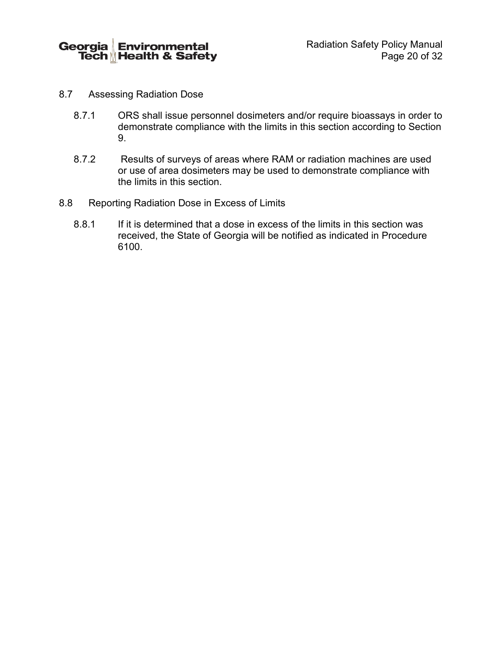

- 8.7 Assessing Radiation Dose
	- 8.7.1 ORS shall issue personnel dosimeters and/or require bioassays in order to demonstrate compliance with the limits in this section according to Section 9.
	- 8.7.2 Results of surveys of areas where RAM or radiation machines are used or use of area dosimeters may be used to demonstrate compliance with the limits in this section.
- 8.8 Reporting Radiation Dose in Excess of Limits
	- 8.8.1 If it is determined that a dose in excess of the limits in this section was received, the State of Georgia will be notified as indicated in Procedure 6100.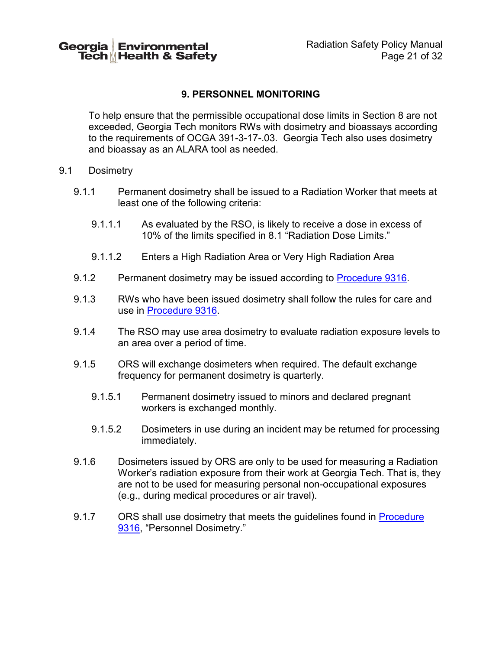# **9. PERSONNEL MONITORING**

To help ensure that the permissible occupational dose limits in Section 8 are not exceeded, Georgia Tech monitors RWs with dosimetry and bioassays according to the requirements of OCGA 391-3-17-.03. Georgia Tech also uses dosimetry and bioassay as an ALARA tool as needed.

- 9.1 Dosimetry
	- 9.1.1 Permanent dosimetry shall be issued to a Radiation Worker that meets at least one of the following criteria:
		- 9.1.1.1 As evaluated by the RSO, is likely to receive a dose in excess of 10% of the limits specified in 8.1 "Radiation Dose Limits."
		- 9.1.1.2 Enters a High Radiation Area or Very High Radiation Area
	- 9.1.2 Permanent dosimetry may be issued according to [Procedure 9316.](http://www.ehs.gatech.edu/sites/default/files/procedure_9316.pdf)
	- 9.1.3 RWs who have been issued dosimetry shall follow the rules for care and use in [Procedure 9316.](http://www.ehs.gatech.edu/sites/default/files/procedure_9316.pdf)
	- 9.1.4 The RSO may use area dosimetry to evaluate radiation exposure levels to an area over a period of time.
	- 9.1.5 ORS will exchange dosimeters when required. The default exchange frequency for permanent dosimetry is quarterly.
		- 9.1.5.1 Permanent dosimetry issued to minors and declared pregnant workers is exchanged monthly.
		- 9.1.5.2 Dosimeters in use during an incident may be returned for processing immediately.
	- 9.1.6 Dosimeters issued by ORS are only to be used for measuring a Radiation Worker's radiation exposure from their work at Georgia Tech. That is, they are not to be used for measuring personal non-occupational exposures (e.g., during medical procedures or air travel).
	- 9.1.7 ORS shall use dosimetry that meets the guidelines found in Procedure [9316,](http://www.ehs.gatech.edu/sites/default/files/procedure_9316.pdf) "Personnel Dosimetry."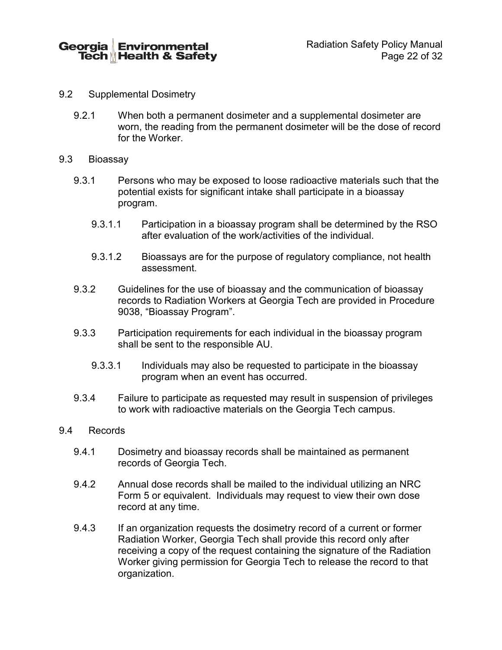Georgia **Environmental** Tech Health & Safety

- 9.2 Supplemental Dosimetry
	- 9.2.1 When both a permanent dosimeter and a supplemental dosimeter are worn, the reading from the permanent dosimeter will be the dose of record for the Worker.
- 9.3 Bioassay
	- 9.3.1 Persons who may be exposed to loose radioactive materials such that the potential exists for significant intake shall participate in a bioassay program.
		- 9.3.1.1 Participation in a bioassay program shall be determined by the RSO after evaluation of the work/activities of the individual.
		- 9.3.1.2 Bioassays are for the purpose of regulatory compliance, not health assessment.
	- 9.3.2 Guidelines for the use of bioassay and the communication of bioassay records to Radiation Workers at Georgia Tech are provided in Procedure 9038, "Bioassay Program".
	- 9.3.3 Participation requirements for each individual in the bioassay program shall be sent to the responsible AU.
		- 9.3.3.1 Individuals may also be requested to participate in the bioassay program when an event has occurred.
	- 9.3.4 Failure to participate as requested may result in suspension of privileges to work with radioactive materials on the Georgia Tech campus.

#### 9.4 Records

- 9.4.1 Dosimetry and bioassay records shall be maintained as permanent records of Georgia Tech.
- 9.4.2 Annual dose records shall be mailed to the individual utilizing an NRC Form 5 or equivalent. Individuals may request to view their own dose record at any time.
- 9.4.3 If an organization requests the dosimetry record of a current or former Radiation Worker, Georgia Tech shall provide this record only after receiving a copy of the request containing the signature of the Radiation Worker giving permission for Georgia Tech to release the record to that organization.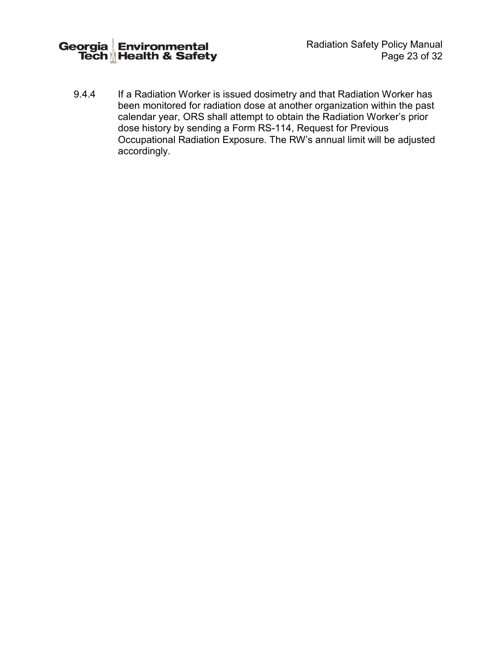Radiation Safety Policy Manual Page 23 of 32

9.4.4 If a Radiation Worker is issued dosimetry and that Radiation Worker has been monitored for radiation dose at another organization within the past calendar year, ORS shall attempt to obtain the Radiation Worker's prior dose history by sending a Form RS-114, Request for Previous Occupational Radiation Exposure. The RW's annual limit will be adjusted accordingly.

Georgia Environmental<br>Tech Health & Safety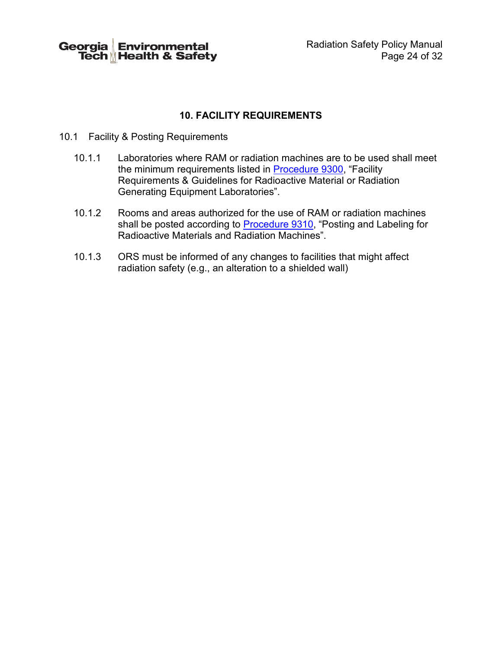Georgia Environmental<br>Tech Health & Safety

# **10. FACILITY REQUIREMENTS**

- 10.1 Facility & Posting Requirements
	- 10.1.1 Laboratories where RAM or radiation machines are to be used shall meet the minimum requirements listed in [Procedure 9300,](http://www.ehs.gatech.edu/sites/default/files/procedure_9300.pdf) "Facility Requirements & Guidelines for Radioactive Material or Radiation Generating Equipment Laboratories".
	- 10.1.2 Rooms and areas authorized for the use of RAM or radiation machines shall be posted according to <u>Procedure 9310</u>, "Posting and Labeling for Radioactive Materials and Radiation Machines".
	- 10.1.3 ORS must be informed of any changes to facilities that might affect radiation safety (e.g., an alteration to a shielded wall)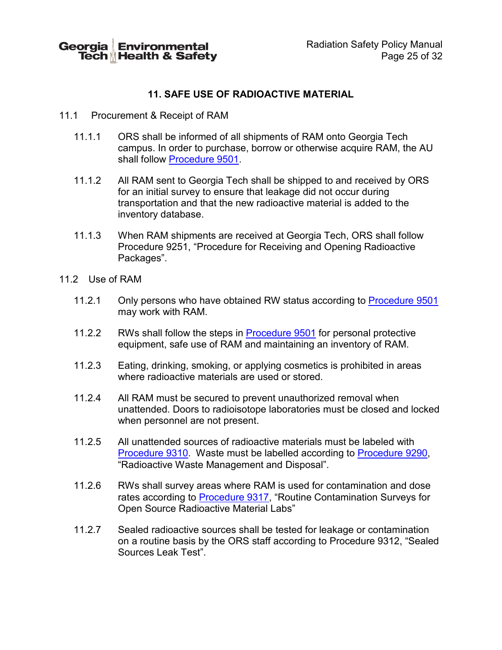# **11. SAFE USE OF RADIOACTIVE MATERIAL**

- 11.1 Procurement & Receipt of RAM
	- 11.1.1 ORS shall be informed of all shipments of RAM onto Georgia Tech campus. In order to purchase, borrow or otherwise acquire RAM, the AU shall follow [Procedure 9501.](http://www.ehs.gatech.edu/sites/default/files/procedure_9501.pdf)
	- 11.1.2 All RAM sent to Georgia Tech shall be shipped to and received by ORS for an initial survey to ensure that leakage did not occur during transportation and that the new radioactive material is added to the inventory database.
	- 11.1.3 When RAM shipments are received at Georgia Tech, ORS shall follow Procedure 9251, "Procedure for Receiving and Opening Radioactive Packages".
- 11.2 Use of RAM
	- 11.2.1 Only persons who have obtained RW status according to [Procedure 9501](http://www.ehs.gatech.edu/sites/default/files/procedure_9501.pdf) may work with RAM.
	- 11.2.2 RWs shall follow the steps in [Procedure 9501](http://www.ehs.gatech.edu/sites/default/files/procedure_9501.pdf) for personal protective equipment, safe use of RAM and maintaining an inventory of RAM.
	- 11.2.3 Eating, drinking, smoking, or applying cosmetics is prohibited in areas where radioactive materials are used or stored.
	- 11.2.4 All RAM must be secured to prevent unauthorized removal when unattended. Doors to radioisotope laboratories must be closed and locked when personnel are not present.
	- 11.2.5 All unattended sources of radioactive materials must be labeled with [Procedure 9310.](http://www.ehs.gatech.edu/sites/default/files/procedure_9310.pdf) Waste must be labelled according to [Procedure 9290,](http://www.ehs.gatech.edu/sites/default/files/procedure_9290.pdf) "Radioactive Waste Management and Disposal".
	- 11.2.6 RWs shall survey areas where RAM is used for contamination and dose rates according to **Procedure 9317**, "Routine Contamination Surveys for Open Source Radioactive Material Labs"
	- 11.2.7 Sealed radioactive sources shall be tested for leakage or contamination on a routine basis by the ORS staff according to Procedure 9312, "Sealed Sources Leak Test".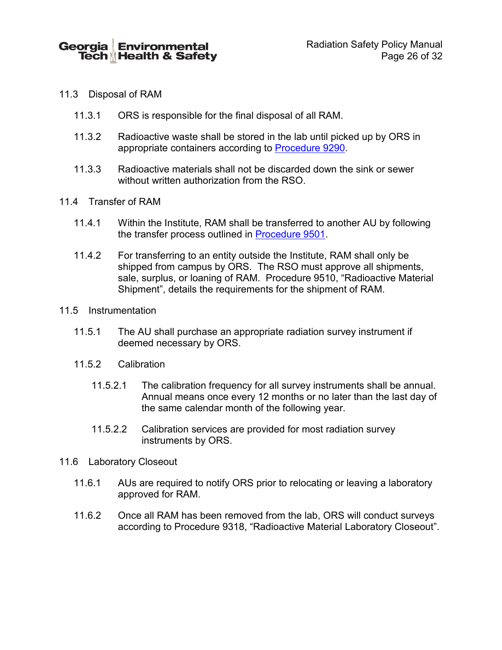#### 11.3 Disposal of RAM

- 11.3.1 ORS is responsible for the final disposal of all RAM.
- 11.3.2 Radioactive waste shall be stored in the lab until picked up by ORS in appropriate containers according to [Procedure 9290.](http://www.ehs.gatech.edu/sites/default/files/procedure_9290.pdf)
- 11.3.3 Radioactive materials shall not be discarded down the sink or sewer without written authorization from the RSO.
- 11.4 Transfer of RAM
	- 11.4.1 Within the Institute, RAM shall be transferred to another AU by following the transfer process outlined in [Procedure 9501.](http://www.ehs.gatech.edu/sites/default/files/procedure_9501.pdf)
	- 11.4.2 For transferring to an entity outside the Institute, RAM shall only be shipped from campus by ORS. The RSO must approve all shipments, sale, surplus, or loaning of RAM. Procedure 9510, "Radioactive Material Shipment", details the requirements for the shipment of RAM.
- 11.5 Instrumentation
	- 11.5.1 The AU shall purchase an appropriate radiation survey instrument if deemed necessary by ORS.
	- 11.5.2 Calibration
		- 11.5.2.1 The calibration frequency for all survey instruments shall be annual. Annual means once every 12 months or no later than the last day of the same calendar month of the following year.
		- 11.5.2.2 Calibration services are provided for most radiation survey instruments by ORS.
- 11.6 Laboratory Closeout
	- 11.6.1 AUs are required to notify ORS prior to relocating or leaving a laboratory approved for RAM.
	- 11.6.2 Once all RAM has been removed from the lab, ORS will conduct surveys according to Procedure 9318, "Radioactive Material Laboratory Closeout".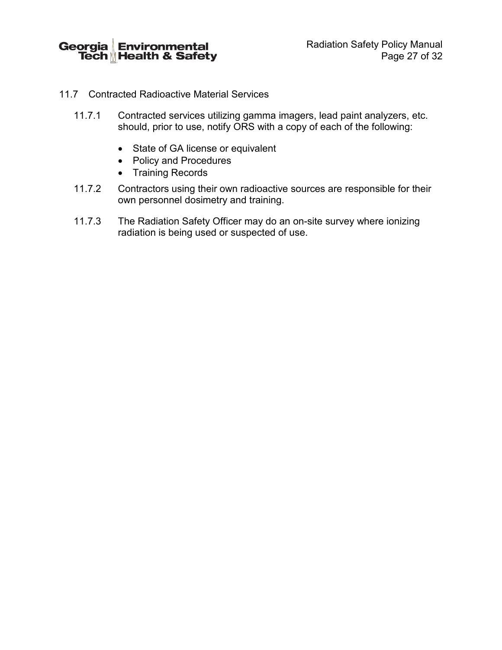Georgia Environmental<br>Tech Health & Safety

Radiation Safety Policy Manual Page 27 of 32

- 11.7 Contracted Radioactive Material Services
	- 11.7.1 Contracted services utilizing gamma imagers, lead paint analyzers, etc. should, prior to use, notify ORS with a copy of each of the following:
		- State of GA license or equivalent
		- Policy and Procedures
		- Training Records
	- 11.7.2 Contractors using their own radioactive sources are responsible for their own personnel dosimetry and training.
	- 11.7.3 The Radiation Safety Officer may do an on-site survey where ionizing radiation is being used or suspected of use.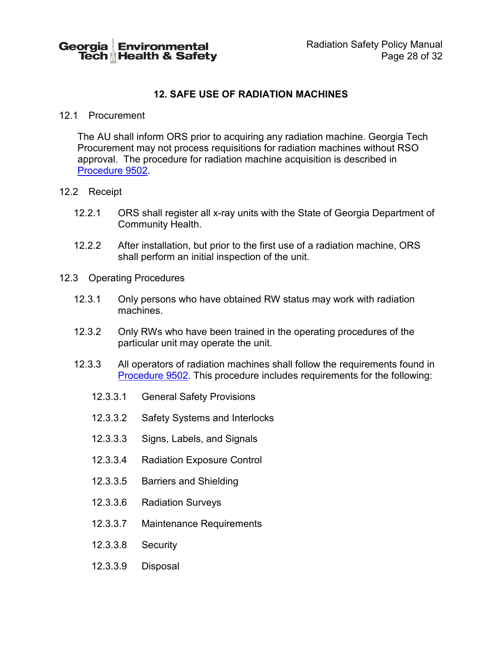# **12. SAFE USE OF RADIATION MACHINES**

#### 12.1 Procurement

The AU shall inform ORS prior to acquiring any radiation machine. Georgia Tech Procurement may not process requisitions for radiation machines without RSO approval. The procedure for radiation machine acquisition is described in [Procedure 9502.](http://www.ehs.gatech.edu/sites/default/files/procedure_9502.pdf)

#### 12.2 Receipt

- 12.2.1 ORS shall register all x-ray units with the State of Georgia Department of Community Health.
- 12.2.2 After installation, but prior to the first use of a radiation machine, ORS shall perform an initial inspection of the unit.
- 12.3 Operating Procedures
	- 12.3.1 Only persons who have obtained RW status may work with radiation machines.
	- 12.3.2 Only RWs who have been trained in the operating procedures of the particular unit may operate the unit.
	- 12.3.3 All operators of radiation machines shall follow the requirements found in [Procedure 9502.](http://www.ehs.gatech.edu/sites/default/files/procedure_9502.pdf) This procedure includes requirements for the following:
		- 12.3.3.1 General Safety Provisions
		- 12.3.3.2 Safety Systems and Interlocks
		- 12.3.3.3 Signs, Labels, and Signals
		- 12.3.3.4 Radiation Exposure Control
		- 12.3.3.5 Barriers and Shielding
		- 12.3.3.6 Radiation Surveys
		- 12.3.3.7 Maintenance Requirements
		- 12.3.3.8 Security
		- 12.3.3.9 Disposal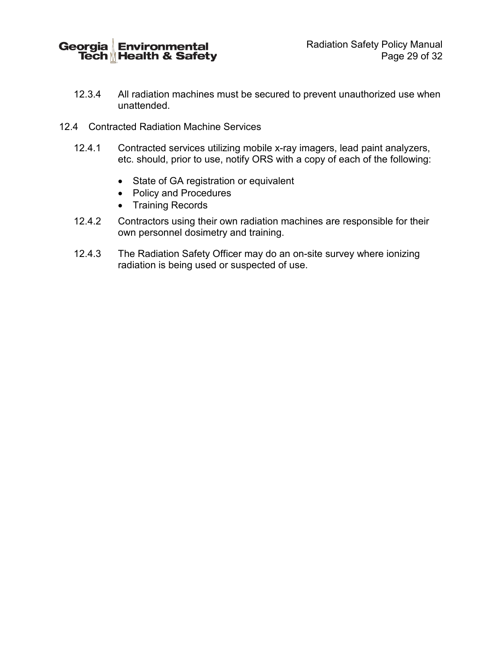Georgia Environmental<br>Tech Health & Safety

Radiation Safety Policy Manual Page 29 of 32

- 12.3.4 All radiation machines must be secured to prevent unauthorized use when unattended.
- 12.4 Contracted Radiation Machine Services
	- 12.4.1 Contracted services utilizing mobile x-ray imagers, lead paint analyzers, etc. should, prior to use, notify ORS with a copy of each of the following:
		- State of GA registration or equivalent
		- Policy and Procedures
		- Training Records
	- 12.4.2 Contractors using their own radiation machines are responsible for their own personnel dosimetry and training.
	- 12.4.3 The Radiation Safety Officer may do an on-site survey where ionizing radiation is being used or suspected of use.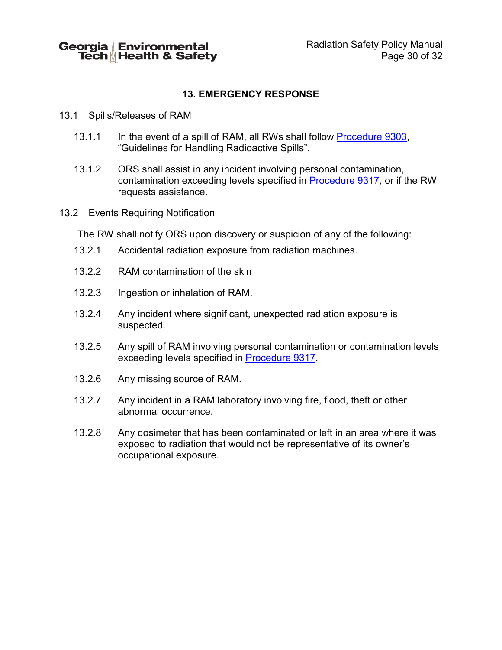# **13. EMERGENCY RESPONSE**

- 13.1 Spills/Releases of RAM
	- 13.1.1 In the event of a spill of RAM, all RWs shall follow [Procedure 9303,](http://www.ehs.gatech.edu/sites/default/files/procedure_9303.pdf) "Guidelines for Handling Radioactive Spills".
	- 13.1.2 ORS shall assist in any incident involving personal contamination, contamination exceeding levels specified in [Procedure 9317,](http://www.ehs.gatech.edu/sites/default/files/procedure_9317.pdf) or if the RW requests assistance.
- 13.2 Events Requiring Notification

The RW shall notify ORS upon discovery or suspicion of any of the following:

- 13.2.1 Accidental radiation exposure from radiation machines.
- 13.2.2 RAM contamination of the skin
- 13.2.3 Ingestion or inhalation of RAM.
- 13.2.4 Any incident where significant, unexpected radiation exposure is suspected.
- 13.2.5 Any spill of RAM involving personal contamination or contamination levels exceeding levels specified in [Procedure 9317.](http://www.ehs.gatech.edu/sites/default/files/procedure_9317.pdf)
- 13.2.6 Any missing source of RAM.
- 13.2.7 Any incident in a RAM laboratory involving fire, flood, theft or other abnormal occurrence.
- 13.2.8 Any dosimeter that has been contaminated or left in an area where it was exposed to radiation that would not be representative of its owner's occupational exposure.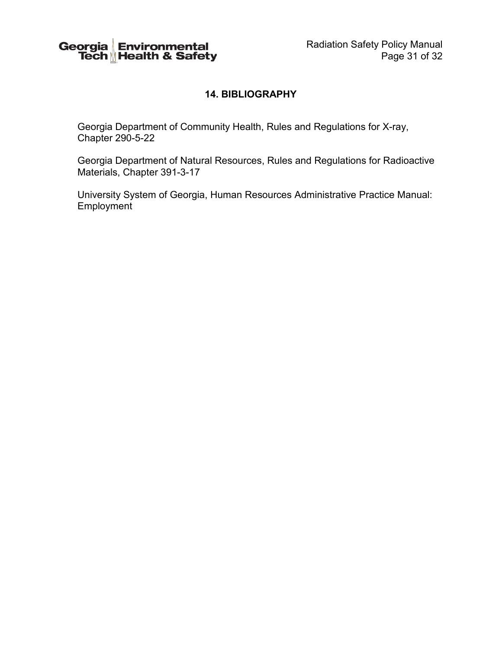

# **14. BIBLIOGRAPHY**

Georgia Department of Community Health, Rules and Regulations for X-ray, Chapter 290-5-22

Georgia Department of Natural Resources, Rules and Regulations for Radioactive Materials, Chapter 391-3-17

University System of Georgia, Human Resources Administrative Practice Manual: Employment